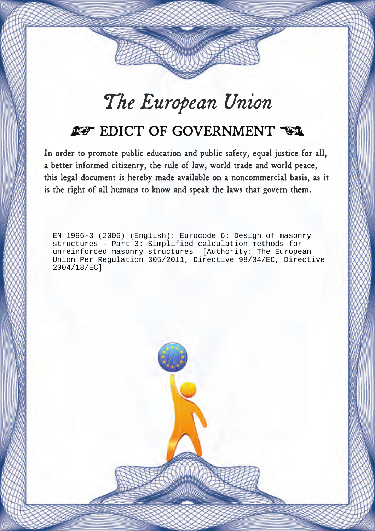# *The European Union*

## *LEF* EDICT OF GOVERNMENT ₹

In order to promote public education and public safety, equal justice for all, a better informed citizenry, the rule of law, world trade and world peace, this legal document is hereby made available on a noncommercial basis, as it is the right of all humans to know and speak the laws that govern them.

EN 1996-3 (2006) (English): Eurocode 6: Design of masonry structures - Part 3: Simplified calculation methods for unreinforced masonry structures [Authority: The European Union Per Regulation 305/2011, Directive 98/34/EC, Directive 2004/18/EC]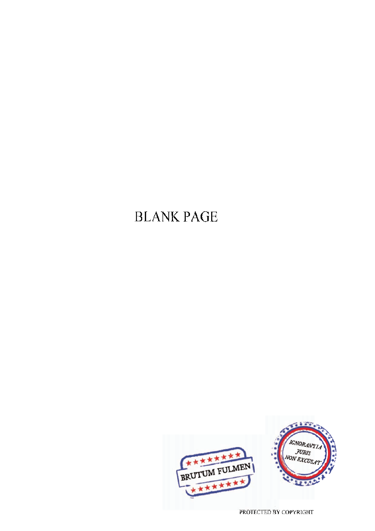## **BLANK PAGE**



PROTECTED BY COPYRIGHT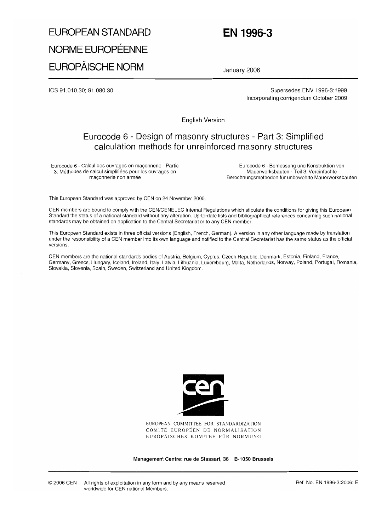## **EUROPEAN STANDARD NORME EUROPEENNE EUROpAISCHE NORM**

## **EN 1996-3**

January 2006

ICS 91.010.30; 91.080.30 Supersedes ENV 1996-3: 1999 Incorporating corrigendum October 2009

English Version

## **Eurocode 6 - Design of masonry structures - Part 3: Simplified calculation methods for unreinforced masonry structures**

Eurocode 6 - Calcul des ouvrages en magonnerie - Partie 3: Methodes de calcul simplifiees pour les ouvrages en maconnerie non armée

Eurocode 6 - Bemessung und Konstruktion von Mauerwerksbauten - Teil 3: Vereinfachte Berechnungsmethoden für unbewehrte Mauerwerksbauten

This European Standard was approved by CEN on 24 November 2005.

CEN members are bound to comply with the CEN/CENELEC Internal Regulations which stipulate the conditions for giving this European Standard the status of a national standard without any alteration. Up-to-date lists and bibliographical references concerning such national standards may be obtained on application to the Central Secretariat or to any CEN member.

This European Standard exists in three official versions (English, French, German). A version in any other language made by translation under the responsibility of a CEN member into its own language and notified to the Central Secretariat has the same status as the official versions.

CEN members are the national standards bodies of Austria, Belgium, Cyprus, Czech Republic, Denmark, Estonia, Finland, France, Germany, Greece, Hungary, Iceland, Ireland, Italy, Latvia, Lithuania, Luxembourg, Malta, Netherlands, Norway, Poland, Portugal, Romania, Slovakia, Slovenia, Spain, Sweden, Switzerland and United Kingdom.



EUROPEAN COMMITTEE FOR STANDARDIZATION COMITÉ EUROPÉEN DE NORMALISATION EUROPÄISCHES KOMITEE FÜR NORMUNG

**Management Centre: rue de Stassart, 36 B-1050 Brussels** 

© 2006 CEN All rights of exploitation in any form and by any means reserved worldwide for CEN national Members.

Ref. No. EN 1996-3:2006: E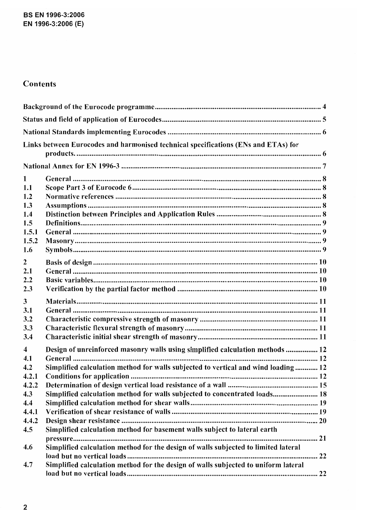## **Contents**

|                         | Links between Eurocodes and harmonised technical specifications (ENs and ETAs) for |  |  |  |  |  |  |  |
|-------------------------|------------------------------------------------------------------------------------|--|--|--|--|--|--|--|
|                         |                                                                                    |  |  |  |  |  |  |  |
| 1                       |                                                                                    |  |  |  |  |  |  |  |
| 1.1                     |                                                                                    |  |  |  |  |  |  |  |
| 1.2                     |                                                                                    |  |  |  |  |  |  |  |
| 1.3                     |                                                                                    |  |  |  |  |  |  |  |
| 1.4                     |                                                                                    |  |  |  |  |  |  |  |
| 1.5                     |                                                                                    |  |  |  |  |  |  |  |
| 1.5.1                   |                                                                                    |  |  |  |  |  |  |  |
| 1.5.2                   |                                                                                    |  |  |  |  |  |  |  |
| 1.6                     |                                                                                    |  |  |  |  |  |  |  |
| 2                       |                                                                                    |  |  |  |  |  |  |  |
| 2.1                     |                                                                                    |  |  |  |  |  |  |  |
| 2.2                     |                                                                                    |  |  |  |  |  |  |  |
| 2.3                     |                                                                                    |  |  |  |  |  |  |  |
| 3                       |                                                                                    |  |  |  |  |  |  |  |
| 3.1                     |                                                                                    |  |  |  |  |  |  |  |
| 3.2                     |                                                                                    |  |  |  |  |  |  |  |
| 3.3                     |                                                                                    |  |  |  |  |  |  |  |
| 3.4                     |                                                                                    |  |  |  |  |  |  |  |
| $\overline{\mathbf{4}}$ | Design of unreinforced masonry walls using simplified calculation methods  12      |  |  |  |  |  |  |  |
| 4.1                     |                                                                                    |  |  |  |  |  |  |  |
| 4.2                     | Simplified calculation method for walls subjected to vertical and wind loading 12  |  |  |  |  |  |  |  |
| 4.2.1                   |                                                                                    |  |  |  |  |  |  |  |
| 4.2.2                   |                                                                                    |  |  |  |  |  |  |  |
| 4.3                     | Simplified calculation method for walls subjected to concentrated loads 18         |  |  |  |  |  |  |  |
| 4.4                     |                                                                                    |  |  |  |  |  |  |  |
| 4.4.1                   |                                                                                    |  |  |  |  |  |  |  |
| 4.4.2                   |                                                                                    |  |  |  |  |  |  |  |
| 4.5                     | Simplified calculation method for basement walls subject to lateral earth          |  |  |  |  |  |  |  |
|                         |                                                                                    |  |  |  |  |  |  |  |
| 4.6                     | Simplified calculation method for the design of walls subjected to limited lateral |  |  |  |  |  |  |  |
|                         |                                                                                    |  |  |  |  |  |  |  |
| 4.7                     | Simplified calculation method for the design of walls subjected to uniform lateral |  |  |  |  |  |  |  |
|                         |                                                                                    |  |  |  |  |  |  |  |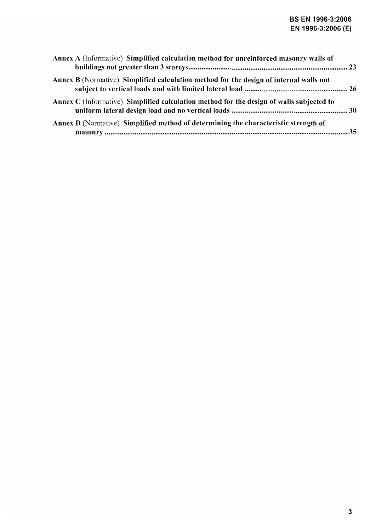| Annex A (Informative) Simplified calculation method for unreinforced masonry walls of         |  |
|-----------------------------------------------------------------------------------------------|--|
| <b>Annex B</b> (Normative) Simplified calculation method for the design of internal walls not |  |
| Annex C (Informative) Simplified calculation method for the design of walls subjected to      |  |
| Annex D (Normative) Simplified method of determining the characteristic strength of           |  |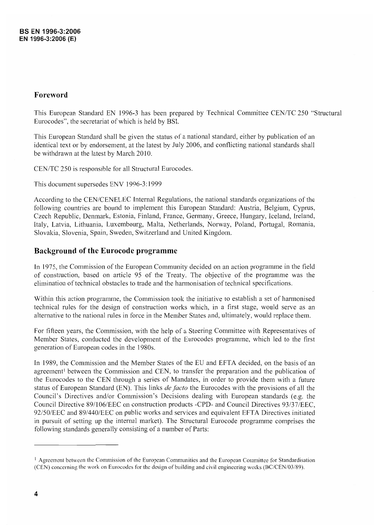#### **Foreword**

This European Standard EN 1996-3 has been prepared by Technical Committee CEN/TC 250 "Structural Eurocodes", the secretariat of which is held by BSI.

This European Standard shall be given the status of a national standard, either by publication of an identical text or by endorsement, at the latest by July 2006, and conflicting national standards shall be withdrawn at the latest by March 2010.

CEN/TC 250 is responsible for all Structural Eurocodes.

This document supersedes ENV 1996-3: 1999

According to the CEN/CENELEC Internal Regulations, the national standards organizations of the following countries are bound to implement this European Standard: Austria, Belgium, Cyprus, Czech Republic, Demnark, Estonia, Finland, France, Germany, Greece, Hungary, Iceland, Ireland, Italy, Latvia, Lithuania, Luxembourg, Malta, Netherlands, Norway, Poland, Portugal, Romania, Slovakia, Slovenia, Spain, Sweden, Switzerland and United Kingdom.

#### **Background of the Eurocode programme**

In 1975, the Commission of the European Community decided on an action programme in the field of construction, based on article 95 of the Treaty. The objective of the programme was the el imination of technical obstacles to trade and the hannonisation of technical specifications.

Within this action programme, the Commission took the initiative to establish a set of harmonised technical nlles for the design of construction works which, in a first stage, would serve as an alternative to the national rules in force in the Member States and, ultimately, would replace them.

For fifteen years, the Commission, with the help of a Steering Committee with Representatives of Member States, conducted the development of the Eurocodes programme, which led to the first generation of European codes in the 1980s.

In 1989, the Commission and the Member States of the EU and EFTA decided, on the basis of an agreement<sup>1</sup> between the Commission and CEN, to transfer the preparation and the publication of the Eurocodes to the CEN through a series of Mandates, in order to provide them with a future status of European Standard (EN). This links *de facto* the Eurocodes with the provisions of all the Council's Directives and/or Commission's Decisions dealing with European standards (e.g. the Council Directive *89/106/EEC* on construction products -CPD- and Council Directives *93/37/EEC, 92/50/EEC* and *89/440/EEC* on public works and services and equivalent EFTA Directives initiated in pursuit of setting up the internal market). The Structural Eurocode programme comprises the following standards generally consisting of a number of Parts:

<sup>&</sup>lt;sup>1</sup> Agreement between the Commission of the European Communities and the European Committee for Standardisation (CEN) concerning the work on Eurocodes for the design of building and civil engineering works (BC/CEN/03/89).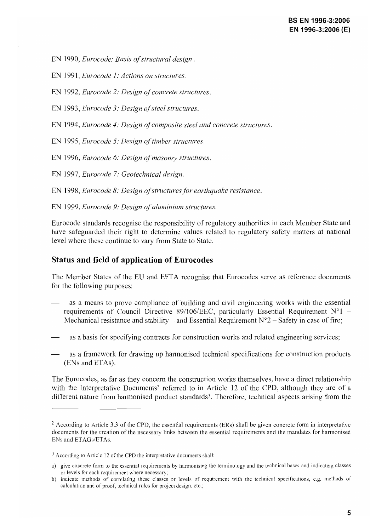EN 1990, *Eurocode: Basis of structural design.* 

EN 1991, *Eurocode* 1: *Actions on structures.* 

*1992, Eurocode* 2: *Design of concrete structures.* 

EN 1993, *Eurocode* 3: *Design of steel structures.* 

EN 1994, *Eurocode* 4: *Design of composite steel and concrete structures.* 

EN 1995, *Eurocode* 5: *Design of timber structures.* 

EN 1996, *Eurocode* 6: *Design of masonry structures.* 

EN 1997, *Eurocode* 7: *Geotechnical design.* 

*1998, Eurocode* 8: *Design of structures for earthquake resistance.* 

EN 1999, *Eurocode* 9: *Design of aluminium structures.* 

Eurocode standards recognise the responsibility of regulatory authorities in each Member State and have safeguarded their right to determine values related to regulatory safety matters at national level where these continue to vary from State to State.

#### **Status and field of application of Eurocodes**

The Member States of the EU and EFTA recognise that Eurocodes serve as reference documents for the following purposes:

- as a means to prove compliance of building and civil engineering works with the essential requirements of Council Directive 89/106/EEC, particularly Essential Requirement N°1 -Mechanical resistance and stability – and Essential Requirement  $N^{\circ}2$  – Safety in case of fire;
- as a basis for specifying contracts for construction works and related engineering services;
- as a framework for drawing up harmonised technical specifications for construction products  $(ENs and ETAs).$

The Eurocodes, as far as they concern the construction works themselves, have a direct relationship with the Interpretative Documents<sup>2</sup> referred to in Article 12 of the CPD, although they are of a different nature from harmonised product standards<sup>3</sup>. Therefore, technical aspects arising from the

<sup>2</sup> According to Article 3.3 of the CPD, the essential requirements (ERs) shall be given concrete form in interpretative documents for the creation of the necessary links between the essential requirements and the mandates for harmonised ENs and ETAGs/ETAs.

 $3$  According to Article 12 of the CPD the interpretative documents shall:

a) give concrete form to the essential requirements by harmonising the terminology and the technical bases and indicating classes or levels for each requirement where necessary;

b) indicate methods of correlating these classes or levels of requirement with the technical specifications, e.g. methods of calculation and of proof, technical rules for project design, etc.;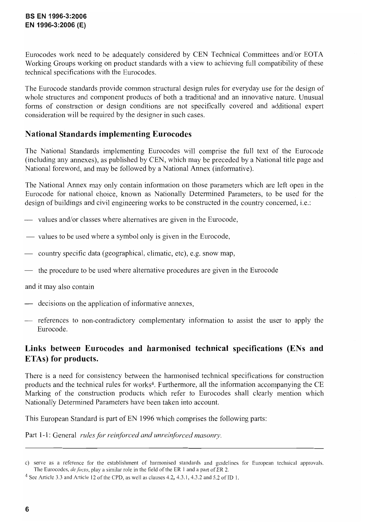Eurocodes work need to be adequately considered by CEN Technical Committees and/or EOTA Working Groups working on product standards with a view to achieving full compatibility of these technical specifications with the Eurocodes.

The Eurocode standards provide common structural design rules for everyday use for the design of whole structures and component products of both a traditional and an innovative nature. Unusual forms of construction or design conditions are not specifically covered and additional expert consideration will be required by the designer in such cases.

## **National Standards implementing Eurocodes**

The National Standards implementing Eurocodes wi11 comprise the full text of the Eurocode (including any annexes), as published by CEN, which may be preceded by a National title page and National foreword, and may be fo11owed by a National Annex (informative).

The National Annex may only contain information on those parameters which are left open in the Eurocode for national choice, known as Nationally Determined Parameters, to be used for the design of buildings and civil engineering works to be constructed in the country concerned, *i.e.*:

- values and/or classes where alternatives are given in the Eurocode,
- values to be used where a symbol only is given in the Eurocode,
- country specific data (geographical, climatic, etc), e.g. snow map,
- <sub>the procedure</sub> to be used where alternative procedures are given in the Eurocode

#### and it may also contain

- decisions on the application of informative annexes,
- references to non-contradictory complementary information to assist the user to apply the Eurocode.

## **Links between Eurocodes and harmonised technical specifications (ENs and ETAs) for products.**

There is a need for consistency between the hannonised technical specifications for construction products and the technical rules for works<sup>4</sup>. Furthermore, all the information accompanying the CE Marking of the construction products which refer to Eurocodes shall clearly mention which Nationally Determined Parameters have been taken into account.

This European Standard is part of EN 1996 which comprises the following parts:

Part 1-1: General *rules for reinforced and unreinforced masonry.* 

c) serve as a reference for the establishment of harmonised standards and guidelines for European technical approvals. The Eurocodes, *de facto*, play a similar role in the field of the ER 1 and a part of ER 2.

<sup>&</sup>lt;sup>4</sup> See Article 3.3 and Article 12 of the CPD, as well as clauses 4.2, 4.3.1, 4.3.2 and 5.2 of ID 1.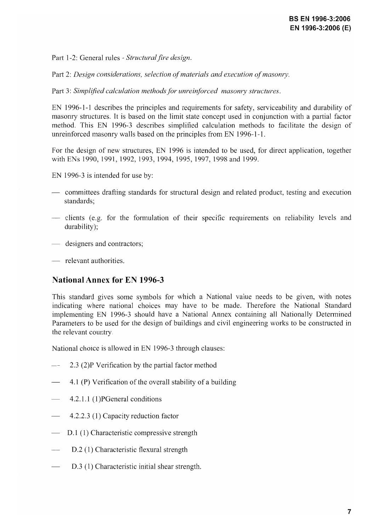Part 1-2: General rules - *Structural fire design*.

Part 2: *Design considerations, selection of materials and execution of masonry.* 

Part 3: Simplified *calculation methods for unreinforced masonry structures.* 

EN 1996-1-1 describes the principles and requirements for safety, serviceability and durability of masonry structures. It is based on the limit state concept used in conjunction with a partial factor method. This EN 1996-3 describes simplified calculation methods to facilitate the design of unreinforced masonry walls based on the principles from EN 1996-1-1.

For the design of new structures, EN 1996 is intended to be used, for direct application, together with ENs 1990, 1991, 1992, 1993, 1994, 1995, 1997,1998 and 1999.

EN 1996-3 is intended for use by:

- committees drafting standards for structural design and related product, testing and execution standards;
- clients (e.g. for the formulation of their specific requirements on reliability levels and durability);
- designers and contractors;
- relevant authorities.

#### **National Annex for EN 1996-3**

This standard gives some symbols for which a National value needs to be given, with notes indicating where national choices may have to be made. Therefore the National Standard implementing EN 1996-3 should have a National Annex containing all Nationally Determined Parameters to be used for the design of buildings and civil engineering works to be constructed in the relevant country.

National choice is allowed in EN 1996-3 through clauses:

- 2.3 (2)P Verification by the partial factor method
- 4.1 (P) Verification of the overall stability of a building
- 4.2.1.1 (1 )PGeneral conditions
- 4.2.2.3 (1) Capacity reduction factor
- $\implies$  D.1 (1) Characteristic compressive strength
- D.2 (1) Characteristic flexural strength
- D.3 (1) Characteristic initial shear strength.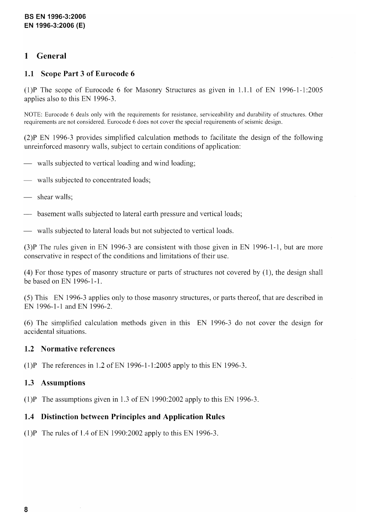## 1 **General**

## **1.1 Scope Part 3 of Eurocode 6**

(l)P The scope of Eurocode 6 for Masonry Structures as given in 1.1.1 of EN 1996-1-1:2005 applies a1so to this EN 1996-3.

NOTE: Eurocode 6 deals only with the requirements for resistance, serviceability and durability of structures. Other requirements are not considered. Eurocode 6 does not cover the special requirements of seismic design.

(2)P EN 1996-3 provides simplified calculation methods to facilitate the design of the fo1lowing unrein forced masonry walls, subject to certain conditions of application:

- walls subjected to vertical loading and wind loading;
- walls subjected to concentrated loads;
- shear walls;
- $-$  basement walls subjected to lateral earth pressure and vertical loads;
- walls subjected to lateral loads but not subjected to vertical loads.

(3)P The rules given in EN 1996-3 are consistent with those given in EN 1996-1-1, but are more conservative in respect of the conditions and limitations of their use.

(4) For those types of masonry structure or parts of structures not covered by  $(1)$ , the design shall be based on EN 1996-1-1.

(5) This EN 1996-3 applies only to those masonry structures, or parts thereof, that are described in EN 1996-1-1 and EN 1996-2.

 $(6)$  The simplified calculation methods given in this EN 1996-3 do not cover the design for accidental situations.

#### **1.2 Normative references**

(1)P The references in 1.2 of EN 1996-1-1:2005 apply to this EN 1996-3.

#### **1.3 Assumptions**

(l)P The assumptions given in 1.3 of EN 1990:2002 apply to this EN 1996-3.

#### **1.4 Distinction between Principles and Application Rules**

(l)P The rules of 1.4 of EN 1990:2002 apply to this EN 1996-3.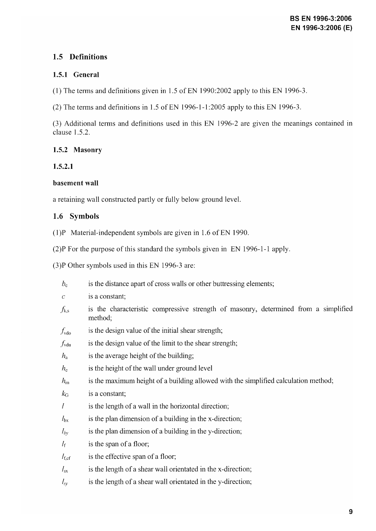## 1.5 Definitions

#### 1.5.1 General

(1) The terms and definitions given in  $1.5$  of EN 1990:2002 apply to this EN 1996-3.

(2) The terms and definitions in 1.5 of EN 1996-1-1 :2005 apply to this EN 1996-3.

(3) Additional terms and definitions used in this EN 1996-2 are given the meanings contained in clause 1.5.2.

## 1.5.2 Masonry

### 1.5.2.1

### basement wall

a retaining wall constructed partly or fully below ground level.

## 1.6 Symbols

(l)P Material-independent symbols are given in 1.6 of EN 1990.

- (2)P For the purpose of this standard the symbols given in EN 1996-1-1 apply.
- (3)P Other symbols used in this EN 1996-3 are:
	- $b<sub>c</sub>$  is the distance apart of cross walls or other buttressing elements;  $c$  is a constant:  $f_{\rm k,s}$  is the characteristic compressive strength of masonry, determined from a simplified
	- $f_{\text{vdo}}$  is the design value of the initial shear strength;
	- $f_{\text{vdu}}$  is the design value of the limit to the shear strength;
	- *ha* is the average height of the building;
	- *he* is the height of the wall under ground level
	- $h_{\rm m}$  is the maximum height of a building allowed with the simplified calculation method;
	- $k_G$  is a constant;

method;

- $l$  is the length of a wall in the horizontal direction;
- $l_{\text{bx}}$  is the plan dimension of a building in the x-direction;
- $h_y$  is the plan dimension of a building in the y-direction;
- *If* is the span of a floor;
- $l_{\text{f,cf}}$  is the effective span of a floor;
- $l_{\rm sx}$  is the length of a shear wall orientated in the x-direction;
- $l_{\rm sv}$  is the length of a shear wall orientated in the y-direction;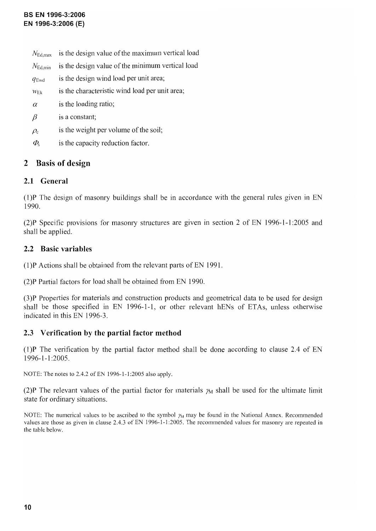- is the design value of the maximum vertical load  $N_{\rm Ed\,max}$
- $N_{\rm Ed,min}$ is the design value of the minimum vertical load
- $q<sub>Ewd</sub>$  is the design wind load per unit area;
- $w_{Ek}$  is the characteristic wind load per unit area;
- $\alpha$  is the loading ratio;
- $\beta$  is a constant;
- $\rho_{\rm e}$  is the weight per volume of the soil;
- $\Phi_{\rm s}$  is the capacity reduction factor.

### **2 Basis of design**

#### **2.1 General**

(1)P The design of masonry buildings shall be in accordance with the general rules given in  $EN$ 1990.

(2)P Specific provisions for masonry structures are given in section 2 of EN 1996-1-1 :2005 and shall be applied.

#### **2.2 Basic variables**

(1)P Actions shall be obtained from the relevant parts of  $EN$  1991.

(2)P Partial factors for load shall be obtained from EN 1990.

(3)P Properties for materials and construction products and geometrical data to be used for design shall be those specified in EN 1996-1-1, or other relevant hENs of ETAs, unless otherwise indicated in this EN 1996-3.

#### **2.3 Verification by the partial factor method**

(1)P The verification by the partial factor method shall be done according to clause 2.4 of  $EN$ 1996-1-1 :2005.

NOTE: The notes to 2.4.2 of EN 1996-1-1:2005 also apply.

(2)P The relevant values of the partial factor for materials  $\gamma_M$  shall be used for the ultimate limit state for ordinary situations.

NOTE: The numerical values to be ascribed to the symbol  $\gamma_M$  may be found in the National Annex. Recommended values are those as given in c1ause 2.4.3 of EN 1996-1-1 :2005. The recommended values for masonry are repeated in the table below.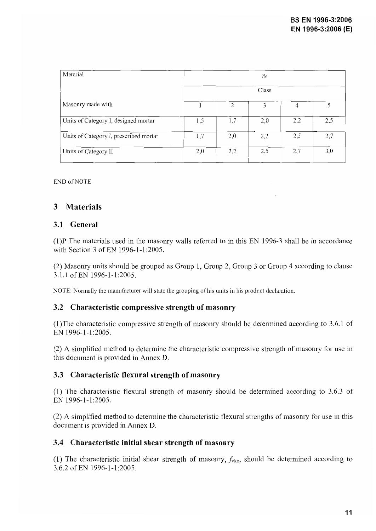| Material                               | Άм    |     |     |     |     |  |
|----------------------------------------|-------|-----|-----|-----|-----|--|
|                                        | Class |     |     |     |     |  |
| Masonry made with                      |       | 2   | 3   |     |     |  |
| Units of Category I, designed mortar   | 1,5   | 1,7 | 2,0 | 2,2 | 2,5 |  |
| Units of Category I, prescribed mortar | 1,7   | 2,0 | 2,2 | 2,5 | 2,7 |  |
| Units of Category II                   | 2,0   | 2,2 | 2,5 | 2,7 | 3,0 |  |

END of NOTE

#### 3 Materials

#### 3.1 General

(l)P The materials used in the masonry walls referred to in this EN 1996-3 shall be in accordance with Section 3 of EN 1996-1-1:2005.

(2) Masonry units should be grouped as Group 1, Group 2, Group 3 or Group 4 according to clause 3.1.1 of EN 1996-1-1:2005.

NOTE: Normally the manufacturer will state the grouping of his units in his product declaration.

#### 3.2 Characteristic compressive strength of masonry

(l)The characteristic compressive strength of masonry should be determined according to 3.6.1 of EN 1996-1-1:2005.

(2) A simplified method to determine the characteristic compressive strength of masonry for use in this document is provided in Annex D.

#### 3.3 Characteristic flexural strength of masonry

(1) The characteristic flexural strength of masonry should be determined according to 3.6.3 of EN 1996-1-1:2005.

(2) A simplified method to determine the characteristic flexural strengths of masonry for use in this document is provided in Annex D.

#### 3.4 Characteristic initial shear strength of masonry

(1) The characteristic initial shear strength of masonry,  $f_{\text{vko}}$ , should be determined according to 3.6.2 of EN 1996-1-1:2005.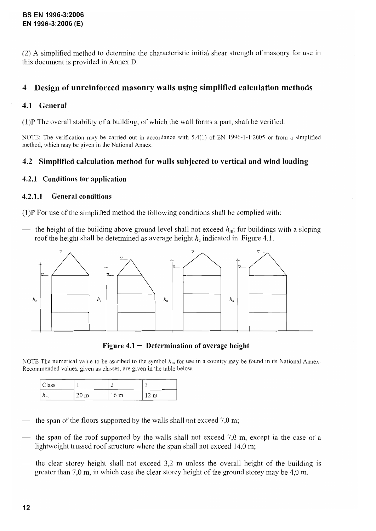$(2)$  A simplified method to determine the characteristic initial shear strength of masonry for use in this document is provided in Annex D.

## 4 Design of unreinforced masonry walls using simplified calculation methods

#### **4.1 General**

 $(1)$ P The overall stability of a building, of which the wall forms a part, shall be verified.

NOTE: The verification may be carried out in accordance with 5.4(1) of EN 1996-1-1:2005 or from a simplified method, which may be given in the National Annex.

### **4.2 Simplified calculation method for walls subjected to vertical and wind loading**

#### **4.2.1 Conditions for application**

#### **4.2.1.1 General conditions**

 $(1)$ P For use of the simplified method the following conditions shall be complied with:

the height of the building above ground level shall not exceed *hm;* for buildings with a sloping roof the height shall be determined as average height  $h_a$  indicated in Figure 4.1.



Figure 4.1 - Determination of average height

NOTE The numerical value to be ascribed to the symbol  $h_m$  for use in a country may be found in its National Annex. Recommended values, given as classes, are given in the table below.

| Class       |                 |                 |                 |
|-------------|-----------------|-----------------|-----------------|
| $n_{\rm m}$ | 20 <sub>m</sub> | 16 <sub>m</sub> | $\frac{1}{2}$ m |

- the span of the floors supported by the walls shall not exceed 7,0 m;
- the span of the roof supported by the walls shall not exceed  $7,0$  m, except in the case of a lightweight trussed roof structure where the span shall not exceed  $14.0 \text{ m}$ ;
- the clear storey height shall not exceed 3,2 m unless the overall height of the building is greater than 7,0 m, in which case the clear storey height of the ground storey may be 4,0 m.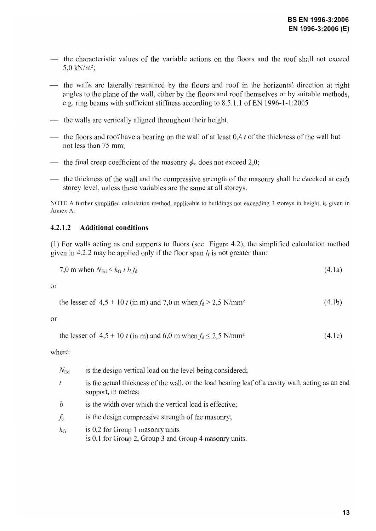- the characteristic values of the variable actions on the floors and the roof shall not exceed 5,0 kN/ $m^2$ ;
- $\frac{d}{dx}$  the walls are laterally restrained by the floors and roof in the horizontal direction at right angles to the plane of the wall, either by the floors and roof themselves or by suitable methods, e.g. ring beams with sufficient stiffness according to 8.5.1.1 of EN 1996-1-1:2005
- $\frac{1}{\sqrt{1-\frac{1}{\sqrt{1-\frac{1}{\sqrt{1-\frac{1}{\sqrt{1-\frac{1}{\sqrt{1-\frac{1}{\sqrt{1-\frac{1}{\sqrt{1-\frac{1}{\sqrt{1-\frac{1}{\sqrt{1-\frac{1}{\sqrt{1-\frac{1}{\sqrt{1-\frac{1}{\sqrt{1-\frac{1}{\sqrt{1-\frac{1}{\sqrt{1-\frac{1}{\sqrt{1-\frac{1}{\sqrt{1-\frac{1}{\sqrt{1-\frac{1}{\sqrt{1-\frac{1}{\sqrt{1-\frac{1}{\sqrt{1-\frac{1}{\sqrt{1-\frac{1}{\sqrt{1-\frac{1}{\sqrt{1-\frac{1}{\sqrt{1-\frac{1}{$
- $\frac{1}{\sqrt{1-\frac{1}{\sqrt{1-\frac{1}{\sqrt{1-\frac{1}{\sqrt{1-\frac{1}{\sqrt{1-\frac{1}{\sqrt{1-\frac{1}{\sqrt{1-\frac{1}{\sqrt{1-\frac{1}{\sqrt{1-\frac{1}{\sqrt{1-\frac{1}{\sqrt{1-\frac{1}{\sqrt{1-\frac{1}{\sqrt{1-\frac{1}{\sqrt{1-\frac{1}{\sqrt{1-\frac{1}{\sqrt{1-\frac{1}{\sqrt{1-\frac{1}{\sqrt{1-\frac{1}{\sqrt{1-\frac{1}{\sqrt{1-\frac{1}{\sqrt{1-\frac{1}{\sqrt{1-\frac{1}{\sqrt{1-\frac{1}{\sqrt{1-\frac{1$ not less than 75 mm;
- the final creep coefficient of the masonry  $\phi_{\infty}$  does not exceed 2,0;
- the thickness of the wall and the compressive strength of the masonry shall be checked at each storey level, unless these variables are the same at all storeys.

NOTE A further simplified calculation method, applicable to buildings not exceeding 3 storeys in height, is given in Annex A.

#### **4.2.1.2 Additional conditions**

 $(1)$  For walls acting as end supports to floors (see Figure 4.2), the simplified calculation method given in 4.2.2 may be applied only if the floor span  $l_f$  is not greater than:

$$
7.0 \text{ m when } N_{\text{Ed}} \le k_{\text{G}} \ t \ b \ f_{\text{d}} \tag{4.1a}
$$

or

the lesser of 
$$
4.5 + 10 t
$$
 (in m) and 7.0 m when  $f_d > 2.5$  N/mm<sup>2</sup> (4.1b)

or

the lesser of  $4.5 + 10 t$  (in m) and  $6.0$  m when  $f_d \le 2.5$  *N/mm<sup>2</sup>* (4.1c)

where:

| $N_{\rm Ed}$     | is the design vertical load on the level being considered;                                                              |
|------------------|-------------------------------------------------------------------------------------------------------------------------|
| t                | is the actual thickness of the wall, or the load bearing leaf of a cavity wall, acting as an end<br>support, in metres; |
| $\boldsymbol{b}$ | is the width over which the vertical load is effective;                                                                 |
| $f_{d}$          | is the design compressive strength of the masonry;                                                                      |
| $k_{\rm G}$      | is $0,2$ for Group 1 masonry units<br>is $0,1$ for Group 2, Group 3 and Group 4 masonry units.                          |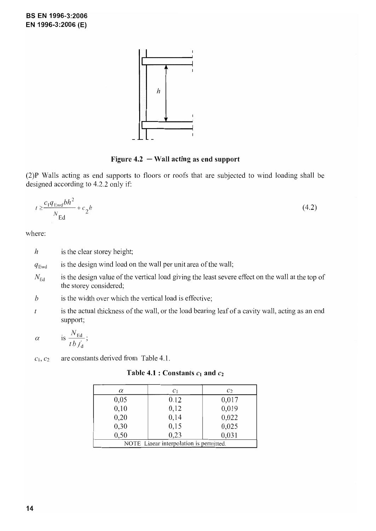

**Figure 4.2 - Wall acting as end support** 

(2)P Walls acting as end supports to floors or roofs that are subjected to wind loading shall be designed according to 4.2.2 only if:

$$
t \ge \frac{c_1 q_{\text{Ewd}} bh^2}{N_{\text{Ed}}} + c_2 h \tag{4.2}
$$

where:

*h* is the clear storey height;

 $q_{Ewd}$  is the design wind load on the wall per unit area of the wall;

- $N_{\text{Ed}}$  is the design value of the vertical load giving the least severe effect on the wall at the top of the storey considered;
- $b$  is the width over which the vertical load is effective;
- $\dot{t}$ is the actual thickness of the wall, or the load bearing leaf of a cavity wall, acting as an end support;

$$
\alpha \qquad \text{is } \frac{N_{\text{Ed}}}{t \, b \, f_{\text{d}}};
$$

 $c_1, c_2$ are constants derived from Table 4.1.

 $\alpha$  c<sub>1</sub> c<sub>2</sub> 0,05 0.12 0,017 0,10 0,12 0,019 0,20 0,14 0,022 0,30 0,15 0,025 0,50 0,23 0,031 NOTE Linear interpolation is permitted.

Table 4.1 : Constants  $c_1$  and  $c_2$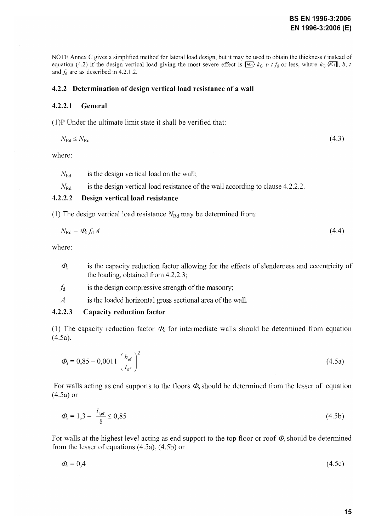NOTE Annex C gives a simplified method for lateral load design, but it may be used to obtain the thickness *t* instead of equation (4.2) if the design vertical load giving the most severe effect is  $A C_1$   $k_G$   $b$  *t*  $f_d$  or less, where  $k_G$   $(A C_1, b, t)$ and  $f_d$  are as described in 4.2.1.2.

#### **4.2.2 Deternlination of design** vertical load **resistance of a wall**

#### **4.2.2.1 General**

 $(1)$ P Under the ultimate limit state it shall be verified that:

$$
N_{\rm Ed} \le N_{\rm Rd} \tag{4.3}
$$

where:

 $N_{\text{Ed}}$  is the design vertical load on the wall;

 $N_{\text{Rd}}$  is the design vertical load resistance of the wall according to clause 4.2.2.2.

#### **4.2.2.2 Design** vertical load **resistance**

(1) The design vertical load resistance  $N_{\text{Rd}}$  may be determined from:

$$
N_{\rm Rd} = \Phi_{\rm s} f_{\rm d} A \tag{4.4}
$$

where:

- $\Phi$ <sub>s</sub> is the capacity reduction factor allowing for the effects of slenderness and eccentricity of the loading, obtained from  $4.2.2.3$ ;
- $f_d$  is the design compressive strength of the masonry;
- *A* is the loaded horizontal gross sectional area of the wall.

#### **4.2.2.3 Capacity reduction factor**

(1) The capacity reduction factor  $\Phi_s$  for intermediate walls should be determined from equation (4.5a).

$$
\varPhi_{\rm s} = 0.85 - 0.0011 \left( \frac{h_{\rm ef}}{t_{\rm ef}} \right)^2 \tag{4.5a}
$$

For walls acting as end supports to the floors  $\Phi$ <sub>s</sub> should be determined from the lesser of equation (4.5a) or

$$
\varPhi_{\rm s} = 1,3 - \frac{l_{\rm f,ef}}{8} \le 0,85 \tag{4.5b}
$$

For walls at the highest level acting as end support to the top floor or roof  $\Phi_{\rm s}$  should be determined from the lesser of equations  $(4.5a)$ ,  $(4.5b)$  or

 $\phi_{s} = 0.4$  $(4.5c)$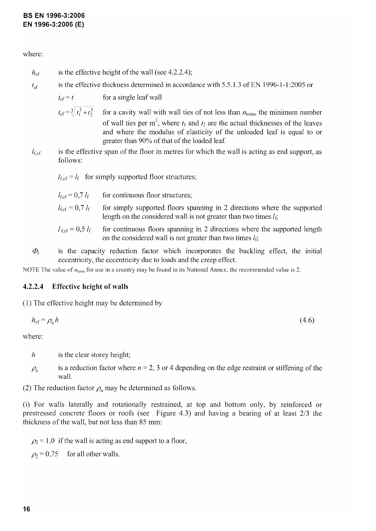#### **BS EN 1996-3:2006 EN 1996-3:2006 (E)**

where:

- $h_{\text{ef}}$  is the effective height of the wall (see 4.2.2.4);
- $t_{\rm ef}$  is the effective thickness determined in accordance with 5.5.1.3 of EN 1996-1-1:2005 or

 $t_{\rm ef} = t$  for a single leaf wall

- $t_{\text{cf}} = \sqrt[3]{t_1^3 + t_2^3}$  for a cavity wall with wall ties of not less than  $n_{\text{tmin}}$ , the minimum number of wall ties per m<sup>2</sup>, where  $t_1$  and  $t_2$  are the actual thicknesses of the leaves and where the modulus of elasticity of the unloaded leaf is equa1 to or greater than 90% of that of the loaded leaf.
- $l_{\text{f,cf}}$  is the effective span of the floor in metres for which the wall is acting as end support, as follows:
	- $l_{\text{f,ef}} = l_{\text{f}}$  for simply supported floor structures;
	- $l_{\text{f}ef} = 0.7 l_{\text{f}}$ for continuous floor structures;
	- $I_{\text{fef}} = 0.7 I_{\text{f}}$ for simply supported floors spanning in 2 directions where the supported length on the considered wall is not greater than two times  $l_f$ ;
	- $l_{\text{fof}} = 0.5 l_{\text{f}}$ for continuous floors spanning in 2 directions where the supported length on the considered wall is not greater than two times  $l_f$ ;
- *lPs* is the capacity reduction factor which incorporates the buckling effect, the initial eccentricity, the eccentricity due to loads and the creep effect.

NOTE The value of  $n_{\text{tmin}}$  for use in a country may be found in its National Annex; the recommended value is 2.

#### 4.2.2.4 Effective **height of walls**

 $(1)$  The effective height may be determined by

$$
h_{\rm cf} = \rho_{\rm n} h \tag{4.6}
$$

where:

*h* is the clear storey height;

 $\rho_n$  is a reduction factor where  $n = 2$ , 3 or 4 depending on the edge restraint or stiffening of the wall.

(2) The reduction factor  $\rho_n$  may be determined as follows.

(i) For walls laterally and rotationally restrained, at top and bottom only, by reinforced or prestressed concrete floors or roofs (see Figure 4.3) and having a bearing of at least 2/3 the thickness of the wall, but not less than 85 mm:

 $\rho_2$  = 1,0 if the wall is acting as end support to a floor,

 $\rho_2$  = 0,75 for all other walls.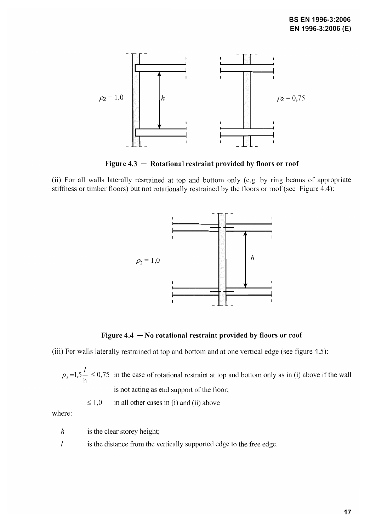

**Figure 4.3 - Rotational restraint provided by floors or roof** 

(ii) For all walls laterally restrained at top and bottom only (e.g. by ring beams of appropriate stiffness or timber floors) but not rotationally restrained by the floors or roof (see Figure 4.4):



**Figure 4.4 - No rotational restraint provided by floors or roof** 

(iii) For walls laterally restrained at top and bottom and at one vertical edge (see figure 4.5):

 $\rho_3 = 1.5 \frac{l}{l} \leq 0.75$  in the case of rotational restraint at top and bottom only as in (i) above if the wall h is not acting as end support of the floor;

 $\leq 1,0$  in all other cases in (i) and (ii) above

where:

*h* is the clear storey height;

 $\mathcal{L}_{\mathcal{L}}$ is the distance from the vertically supported edge to the free edge.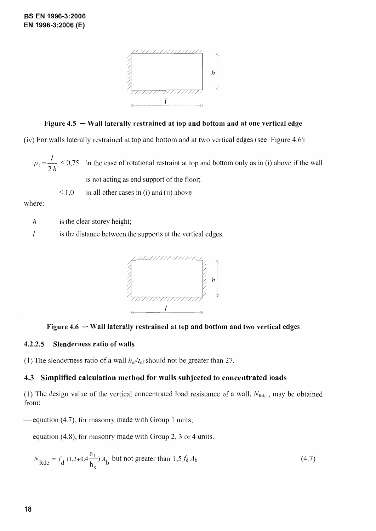

#### Figure  $4.5 -$  Wall laterally restrained at top and bottom and at one vertical edge

(iv) For walls laterally restrained at top and bottom and at two vertical edges (see Figure 4.6):

 $p_4 = \frac{l}{2h} \le 0.75$  in the case of rotational restraint at top and bottom only as in (i) above if the wall is not acting as end support of the floor;

 $\leq 1,0$  in all other cases in (i) and (ii) above

where:

*h* is the clear storey height;

is the distance between the supports at the vertical edges.  $\iota$ 



#### Figure  $4.6 -$  Wall laterally restrained at top and bottom and two vertical edges

#### 4.2.2.5 Slenderness ratio of walls

(1) The slenderness ratio of a wall  $h_{\rm ef}/t_{\rm ef}$  should not be greater than 27.

#### 4.3 Simplified calculation method for walls subjected to concentrated loads

(1) The design value of the vertical concentrated load resistance of a wall,  $N_{Rdc}$ , may be obtained from:

 $-$ equation (4.7), for masonry made with Group 1 units;

 $-$ equation (4.8), for masonry made with Group 2, 3 or 4 units.

$$
N_{\text{Rdc}} = f_{\text{d}} (1,2+0,4\frac{a_1}{h_c}) A_{\text{b}} \text{ but not greater than } 1,5 f_{\text{d}} A_{\text{b}} \tag{4.7}
$$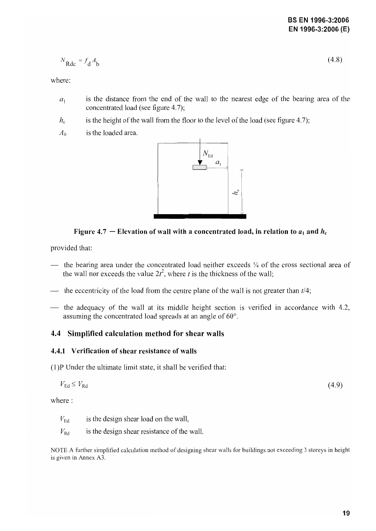$$
N_{\text{Rdc}} = f_{\text{d}} A_{\text{b}} \tag{4.8}
$$

where:

- $a_1$  is the distance from the end of the wall to the nearest edge of the bearing area of the concentrated load (see figure 4.7);
- *h<sub>c</sub>* is the height of the wall from the floor to the level of the load (see figure 4.7);
- *Ab* is the loaded area.





provided that:

- the bearing area under the concentrated load neither exceeds  $\frac{1}{4}$  of the cross sectional area of the wall nor exceeds the value  $2t^2$ , where *t* is the thickness of the wall;
- the eccentricity of the load from the centre plane of the wall is not greater than  $t/4$ ;
- the adequacy of the wall at its middle height section is verified in accordance with 4.2, assuming the concentrated load spreads at an angle of 60°.

#### 4.4 Simplified calculation method for shear walls

#### 4.4.1 Verification of shear resistance of walls

(l)P Under the ultimate limit state, it shall be verified that:

$$
V_{\rm Ed} \le V_{\rm Rd} \tag{4.9}
$$

where:

 $V_{\rm Ed}$  is the design shear load on the wall,

 $V_{\rm Rd}$  is the design shear resistance of the wall.

NOTE A further simplified calculation method of designing shear walls for buildings not exceeding 3 storeys in height is given in Annex A3.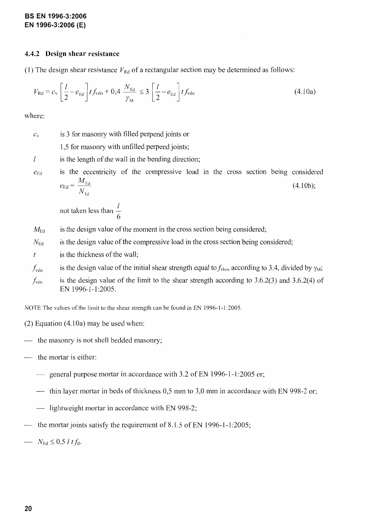#### **BS EN 1996-3:2006 EN 1996-3:2006 (E)**

#### **4.4.2 Design shear resistance**

(1) The design shear resistance  $V_{\text{Rd}}$  of a rectangular section may be determined as follows:

$$
V_{\rm Rd} = c_{\rm v} \left[ \frac{l}{2} - e_{\rm Ed} \right] t f_{\rm vdo} + 0,4 \frac{N_{\rm Ed}}{\gamma_{\rm M}} \le 3 \left[ \frac{l}{2} - e_{\rm Ed} \right] t f_{\rm vdu} \tag{4.10a}
$$

where:

 $c_v$  is 3 for masonry with filled perpend joints or

1,5 for masonry with unfilled perpend joints;

 $l$  is the length of the wall in the bending direction;

$$
e_{\text{Ed}}
$$
 is the eccentricity of the compressive load in the cross section being considered  
\n $e_{\text{Ed}} = \frac{M_{\text{Ed}}}{N_{\text{Ed}}}$  (4.10b);

not taken less than  $\frac{l}{\epsilon}$ 6

- $M_{\text{Ed}}$  is the design value of the moment in the cross section being considered;
- $N<sub>Ed</sub>$  is the design value of the compressive load in the cross section being considered;
- $t$  is the thickness of the wall;
- $f_{\text{vdo}}$  is the design value of the initial shear strength equal to  $f_{\text{vko}}$ , according to 3.4, divided by  $\gamma_M$ ;
- *fvdu* is the design value of the limit to the shear strength according to 3.6.2(3) and 3.6.2(4) of EN 1996-1-1:2005.

NOTE The values of the limit to the shear strength can be found in EN 1996-1-1:2005.

- $(2)$  Equation  $(4.10a)$  may be used when:
- the masonry is not shell bedded masonry;
- $-$  the mortar is either:
	- $\equiv$  general purpose mortar in accordance with 3.2 of EN 1996-1-1:2005 or;
	- $-$  thin layer mortar in beds of thickness 0,5 mm to 3,0 mm in accordance with EN 998-2 or;
	- lightweight mortar in accordance with EN 998-2;
- the mortar joints satisfy the requirement of 8.1.5 of EN 1996-1-1 :2005;

 $\sum_{E d} S 0, 5 l t f_d.$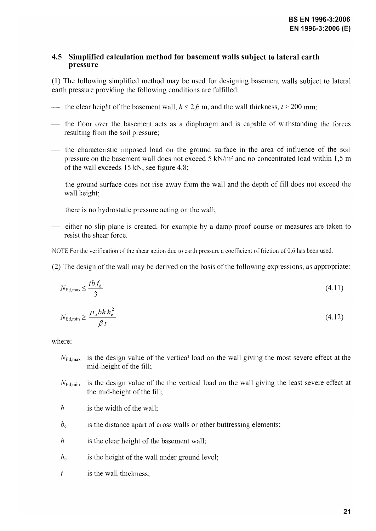#### **4.5 Simplified calculation method for basement walls subject to lateral earth pressure**

(l) The following simplified method may be used for designing basement walls subject to lateral earth pressure providing the following conditions are fulfilled:

- the clear height of the basement wall,  $h \le 2.6$  m, and the wall thickness,  $t \ge 200$  mm;
- the floor over the basement acts as a diaphragm and is capable of withstanding the forces resulting from the soil pressure;
- the characteristic imposed load on the ground surface in the area of influence of the soil pressure on the basement wall does not exceed  $5 \text{ kN/m}^2$  and no concentrated load within 1,5 m of the wall exceeds 15 kN, see figure 4.8;
- the ground surface does not rise away from the wall and the depth of fill does not exceed the wall height;
- there is no hydrostatic pressure acting on the wall;
- either no slip plane is created, for example by a damp proof course or measures are taken to resist the shear force.
- NOTE For the verification of the shear action due to earth pressure a coefficient of friction of 0,6 has been used.
- $(2)$  The design of the wall may be derived on the basis of the following expressions, as appropriate:

$$
N_{\rm Ed, max} \le \frac{t b f_{\rm d}}{3} \tag{4.11}
$$

$$
N_{\rm Ed,min} \ge \frac{\rho_{\rm e} \, bh \, h_{\rm e}^2}{\beta \, t} \tag{4.12}
$$

where:

- is the design value of the vertical load on the wall giving the most severe effect at the  $N_{\rm Ed,max}$ mid-height of the fill;
- *N*<sub>Ed,min</sub> is the design value of the the vertical load on the wall giving the least severe effect at the mid-height of the fill;
- *b* is the width of the wall;
- $b_c$  is the distance apart of cross walls or other buttressing elements;
- *h* is the clear height of the basement wall;
- *he* is the height of the wall under ground level;
- *t* is the wall thickness;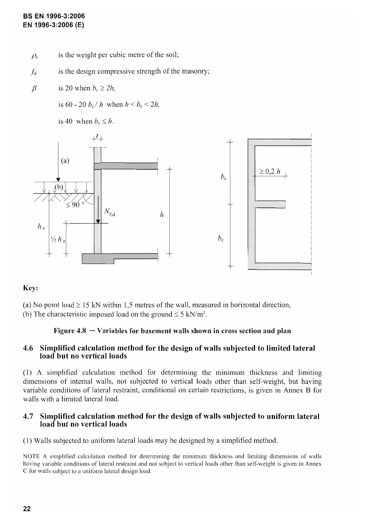#### **BS EN 1996-3:2006 EN 1996-3:2006 (E)**

- $\rho_{\rm c}$  is the weight per cubic metre of the soil;
- $f<sub>d</sub>$  is the design compressive strength of the masonry;
- $\beta$  is 20 when  $b_c \geq 2h$ ,

is 60 - 20  $b_c/h$  when  $h < b_c < 2h$ ,

is 40 when  $b_c \leq h$ .



#### **Key:**

(a) No point load  $\geq$  15 kN within 1,5 metres of the wall, measured in horizontal direction, (b) The characteristic imposed load on the ground  $\leq$  5 kN/m<sup>2</sup>.

#### **Figure 4.8 - Variables for basement walls shown in cross section and plan**

#### **4.6 Simplified calculation method for the design of walls subjected to limited lateral load but no** vertical loads

 $(1)$  A simplified calculation method for determining the minimum thickness and limiting dimensions of internal walls, not subjected to vertical loads other than self-weight, but having variable conditions of lateral restraint, conditional on certain restrictions, is given in Annex B for walls with a limited lateral load.

#### **4.7 Simplified calculation method for the design of walls subjected to uniform lateral load but no** vertical loads

 $(1)$  Walls subjected to uniform lateral loads may be designed by a simplified method.

NOTE A simplified calculation method for determining the minimum thickness and limiting dimensions of walls having variable conditions of lateral restraint and not subject to vertical loads other than self-weight is given in Annex C for walls subject to a uniform lateral design load.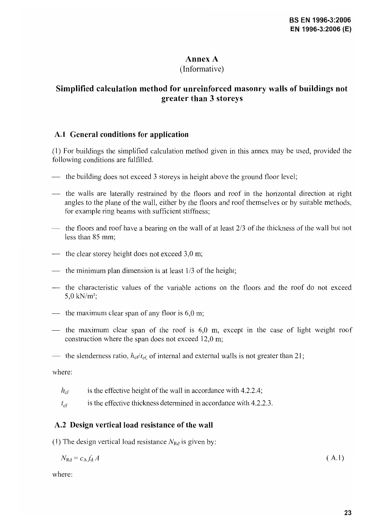## **Annex** A

## (Informative)

## **Simplified calculation method for unreinforced masonry walls of buildings not greater than 3 storeys**

## A.1 **General conditions for application**

(1) For buildings the simplified calculation method given in this annex n1ay be used, provided the following conditions are fulfilled.

- the building does not exceed 3 storeys in height above the ground floor level;
- $\frac{1}{1}$  the walls are laterally restrained by the floors and roof in the horizontal direction at right angles to the plane of the wall, either by the floors and roof themselves or by suitable methods, for example ring beams with sufficient stiffness;
- $\frac{1}{\sqrt{1-\frac{1}{\sqrt{1-\frac{1}{\sqrt{1-\frac{1}{\sqrt{1-\frac{1}{\sqrt{1-\frac{1}{\sqrt{1-\frac{1}{\sqrt{1-\frac{1}{\sqrt{1-\frac{1}{\sqrt{1-\frac{1}{\sqrt{1-\frac{1}{\sqrt{1-\frac{1}{\sqrt{1-\frac{1}{\sqrt{1-\frac{1}{\sqrt{1-\frac{1}{\sqrt{1-\frac{1}{\sqrt{1-\frac{1}{\sqrt{1-\frac{1}{\sqrt{1-\frac{1}{\sqrt{1-\frac{1}{\sqrt{1-\frac{1}{\sqrt{1-\frac{1}{\sqrt{1-\frac{1}{\sqrt{1-\frac{1}{\sqrt{1-\frac{1$ less than 85 mm;
- $\frac{1}{\sqrt{1-\frac{1}{\sqrt{1-\frac{1}{\sqrt{1-\frac{1}{\sqrt{1-\frac{1}{\sqrt{1-\frac{1}{\sqrt{1-\frac{1}{\sqrt{1-\frac{1}{\sqrt{1-\frac{1}{\sqrt{1-\frac{1}{\sqrt{1-\frac{1}{\sqrt{1-\frac{1}{\sqrt{1-\frac{1}{\sqrt{1-\frac{1}{\sqrt{1-\frac{1}{\sqrt{1-\frac{1}{\sqrt{1-\frac{1}{\sqrt{1-\frac{1}{\sqrt{1-\frac{1}{\sqrt{1-\frac{1}{\sqrt{1-\frac{1}{\sqrt{1-\frac{1}{\sqrt{1-\frac{1}{\sqrt{1-\frac{1}{\sqrt{1-\frac{1$
- $\frac{1}{3}$  the minimum plan dimension is at least 1/3 of the height;
- the characteristic values of the variable actions on the floors and the roof do not exceed 5,0 kN/m2;
- $\frac{1}{\sqrt{1-\frac{1}{\sqrt{1-\frac{1}{\sqrt{1-\frac{1}{\sqrt{1-\frac{1}{\sqrt{1-\frac{1}{\sqrt{1-\frac{1}{\sqrt{1-\frac{1}{\sqrt{1-\frac{1}{\sqrt{1-\frac{1}{\sqrt{1-\frac{1}{\sqrt{1-\frac{1}{\sqrt{1-\frac{1}{\sqrt{1-\frac{1}{\sqrt{1-\frac{1}{\sqrt{1-\frac{1}{\sqrt{1-\frac{1}{\sqrt{1-\frac{1}{\sqrt{1-\frac{1}{\sqrt{1-\frac{1}{\sqrt{1-\frac{1}{\sqrt{1-\frac{1}{\sqrt{1-\frac{1}{\sqrt{1-\frac{1}{\sqrt{1-\frac{1$
- $-$  the maximum clear span of the roof is 6,0 m, except in the case of light weight roof construction where the span does not exceed  $12.0 \text{ m}$ ;
- the slenderness ratio,  $h_{cf}/t_{cf}$ , of internal and external walls is not greater than 21;

where:

- $h_{\text{cf}}$  is the effective height of the wall in accordance with 4.2.2.4;
- $t_{\rm ef}$  is the effective thickness determined in accordance with 4.2.2.3.

## A.2 **Design** vertical load **resistance of the wall**

(1) The design vertical load resistance  $N_{\text{Rd}}$  is given by:

$$
N_{\rm Rd} = c_{\rm A} f_{\rm d} A \tag{A.1}
$$

where: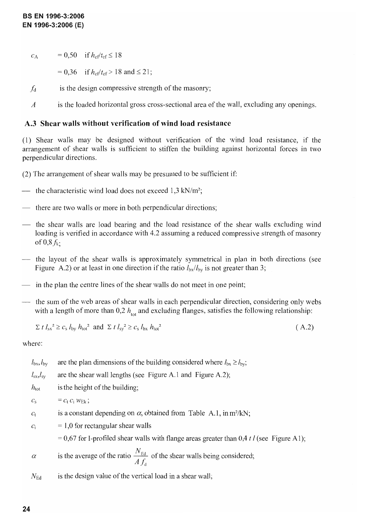$= 0.50$  if  $h_{\rm ef}/t_{\rm ef} \le 18$  $C_A$ 

 $= 0.36$  if  $h_{\text{ef}}/t_{\text{ef}} > 18$  and  $\leq 21$ ;

- $f_d$  is the design compressive strength of the masonry;
- *A* is the loaded horizontal gross cross-sectional area of the wall, excluding any openings.

#### **A.3 Shear walls without verification of wind load resistance**

(1) Shear walls may be designed without verification of the wind load resistance, if the arrangement of shear walls is sufficient to stiffen the building against horizontal forces in two perpendicular directions.

 $(2)$  The arrangement of shear walls may be presumed to be sufficient if:

- the characteristic wind load does not exceed 1,3 kN/m*<sup>2</sup> ;*
- there are two walls or more in both perpendicular directions;
- the shear walls are load bearing and the load resistance of the shear walls excluding wind loading is verified in accordance with 4.2 assuming a reduced compressive strength of masonry of 0,8 $f_k$ :
- the layout of the shear walls is approximately symmetrical in plan in both directions (see Figure A.2) or at least in one direction if the ratio  $l_{bx}/l_{by}$  is not greater than 3;
- in the plan the centre lines of the shear walls do not meet in one point;
- the sum of the web areas of shear walls in each perpendicular direction, considering only webs with a length of more than 0,2  $h_{\text{tot}}$  and excluding flanges, satisfies the following relationship:

$$
\Sigma t l_{\rm sx}^2 \ge c_{\rm s} l_{\rm by} h_{\rm tot}^2 \text{ and } \Sigma t l_{\rm sy}^2 \ge c_{\rm s} l_{\rm bx} h_{\rm tot}^2 \tag{A.2}
$$

where:

 $l_{\text{bx}}$ ,  $l_{\text{by}}$  are the plan dimensions of the building considered where  $l_{\text{bx}} \ge l_{\text{by}}$ ;

are the shear wall lengths (see Figure A.l and Figure A.2);  $l_{\rm sx}$ , $l_{\rm sy}$ 

 $h_{\text{tot}}$  is the height of the building;

$$
c_{\rm s} = c_{\rm t} c_{\rm i} w_{\rm Ek};
$$

 $c_t$  is a constant depending on  $\alpha$ , obtained from Table A.1, in m<sup>2</sup>/kN;

 $c_i$  = 1,0 for rectangular shear walls

 $= 0.67$  for I-profiled shear walls with flange areas greater than 0.4 *t l* (see Figure A1);

$$
\alpha
$$
 is the average of the ratio  $\frac{N_{\text{Ed}}}{A f_{\text{d}}}$  of the shear walls being considered;

is the design value of the vertical load in a shear wall;  $N_{\rm Ed}$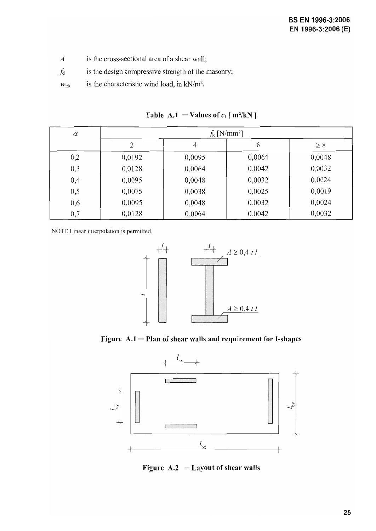- *A* is the cross-sectional area of a shear wall;
- $f_d$  is the design compressive strength of the masonry;
- $w_{\text{Ek}}$  is the characteristic wind load, in kN/m<sup>2</sup>.

| $\alpha$ | $f_k$ [N/mm <sup>2</sup> ] |        |        |          |  |  |  |  |  |
|----------|----------------------------|--------|--------|----------|--|--|--|--|--|
|          |                            | 4      | 6      | $\geq 8$ |  |  |  |  |  |
| 0,2      | 0,0192                     | 0,0095 | 0,0064 | 0,0048   |  |  |  |  |  |
| 0,3      | 0,0128                     | 0,0064 | 0,0042 | 0,0032   |  |  |  |  |  |
| 0,4      | 0,0095                     | 0,0048 | 0,0032 | 0,0024   |  |  |  |  |  |
| 0,5      | 0,0075                     | 0,0038 | 0,0025 | 0,0019   |  |  |  |  |  |
| 0,6      | 0,0095                     | 0,0048 | 0,0032 | 0,0024   |  |  |  |  |  |
| 0,7      | 0,0128                     | 0,0064 | 0,0042 | 0,0032   |  |  |  |  |  |

Table A.1  $-$  Values of  $c_t$  [ m<sup>2</sup>/kN ]

NOTE Linear interpolation is pennitted.



Figure  $A.1$  – Plan of shear walls and requirement for I-shapes



Figure  $A.2 -$  Layout of shear walls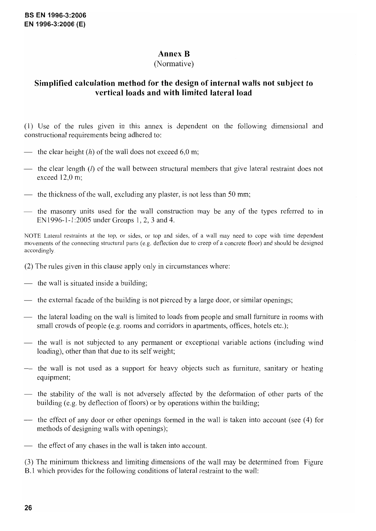## **Annex B**

#### (Normative)

## **Simplified calculation method for the design of internal walls not subject to**  vertical loads **and with limited** lateral load

(1) Use of the rules given in this annex IS dependent on the following dimensional and constructional requirements being adhered to:

- the clear height  $(h)$  of the wall does not exceed 6,0 m;
- $\frac{1}{\sqrt{1-\frac{1}{\sqrt{1-\frac{1}{\sqrt{1-\frac{1}{\sqrt{1-\frac{1}{\sqrt{1-\frac{1}{\sqrt{1-\frac{1}{\sqrt{1-\frac{1}{\sqrt{1-\frac{1}{\sqrt{1-\frac{1}{\sqrt{1-\frac{1}{\sqrt{1-\frac{1}{\sqrt{1-\frac{1}{\sqrt{1-\frac{1}{\sqrt{1-\frac{1}{\sqrt{1-\frac{1}{\sqrt{1-\frac{1}{\sqrt{1-\frac{1}{\sqrt{1-\frac{1}{\sqrt{1-\frac{1}{\sqrt{1-\frac{1}{\sqrt{1-\frac{1}{\sqrt{1-\frac{1}{\sqrt{1-\frac{1}{\sqrt{1-\frac{1$ exceed 12,0 m;
- $\frac{1}{\sqrt{1-\frac{1}{\sqrt{1-\frac{1}{\sqrt{1-\frac{1}{\sqrt{1-\frac{1}{\sqrt{1-\frac{1}{\sqrt{1-\frac{1}{\sqrt{1-\frac{1}{\sqrt{1-\frac{1}{\sqrt{1-\frac{1}{\sqrt{1-\frac{1}{\sqrt{1-\frac{1}{\sqrt{1-\frac{1}{\sqrt{1-\frac{1}{\sqrt{1-\frac{1}{\sqrt{1-\frac{1}{\sqrt{1-\frac{1}{\sqrt{1-\frac{1}{\sqrt{1-\frac{1}{\sqrt{1-\frac{1}{\sqrt{1-\frac{1}{\sqrt{1-\frac{1}{\sqrt{1-\frac{1}{\sqrt{1-\frac{1}{\sqrt{1-\frac{1$
- the masonry units used for the wall construction may be any of the types referred to in EN 1996-1-1 :2005 under Groups 1, 2, 3 and 4.

NOTE Lateral restraints at the top, or sides, or top and sides, of a wall may need to cope with time dependent movements of the connecting structural parts (e.g. deflection due to creep of a concrete floor) and should be designed accordingly.

(2) The rules given in this clause apply only in circumstances where:

- $-$  the wall is situated inside a building;
- $\overline{\phantom{a}}$  the external facade of the building is not pierced by a large door, or similar openings;
- the 1ateral 10ading on the wall is limited to loads from people and small furniture in rooms with small crowds of people (e.g. rooms and corridors in apartments, offices, hotels etc.);
- $\overline{a}$  the wall is not subjected to any permanent or exceptional variable actions (including wind loading), other than that due to its self weight;
- $\frac{d}{dx}$  the wall is not used as a support for heavy objects such as furniture, sanitary or heating equipment;
- $\overline{\phantom{a}}$  the stability of the wall is not adversely affected by the deformation of other parts of the building (e.g. by deflection of floors) or by operations within the building;
- the effect of any door or other openings formed in the wall is taken into account (see (4) for methods of designing walls with openings);
- the effect of any chases in the wall is taken into account.

(3) The minimum thickness and limiting dimensions of the wall may be determined from Figure B.t which provides for the following conditions of lateral restraint to the wall: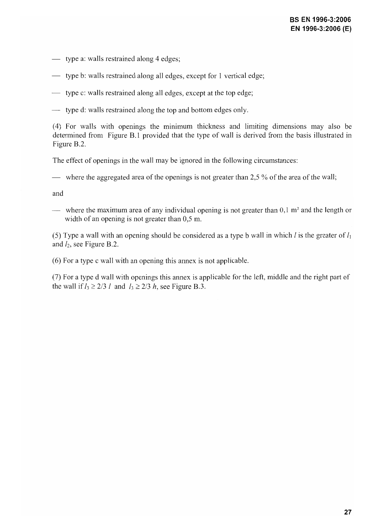- $\psi$  type a: walls restrained along 4 edges;
- type b: walls restrained along all edges, except for 1 vertical edge;
- type c: wa1ls restrained along all edges, except at the top edge;
- type d: walls restrained along the top and bottom edges only.

(4) For walls with openings the minimum thickness and limiting dimensions may also be determined from Figure B.1 provided that the type of wall is derived from the basis illustrated in Figure B.2.

The effect of openings in the wall may be ignored in the following circumstances:

— where the aggregated area of the openings is not greater than 2,5 % of the area of the wall;

and

— where the maximum area of any individual opening is not greater than  $0.1 \text{ m}^2$  and the length or width of an opening is not greater than  $0.5$  m.

(5) Type a wall with an opening should be considered as a type b wall in which *l* is the greater of  $l_1$ and  $l_2$ , see Figure B.2.

(6) For a type c wall with an opening this annex is not applicable.

(7) For a type d \vall with openings this annex is applicable for the left, middle and the right part of the wall if  $l_3 \ge 2/3$  l and  $l_3 \ge 2/3$  h, see Figure B.3.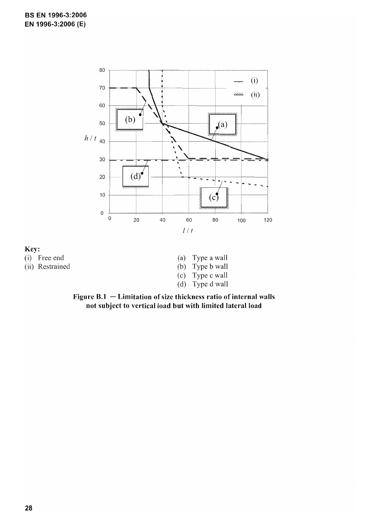

**Key:** 

(i) Free end

(ii) Restrained

| (a) | Type a wall |
|-----|-------------|
| (b) | Type b wall |
| (c) | Type c wall |
| (d) | Type d wall |

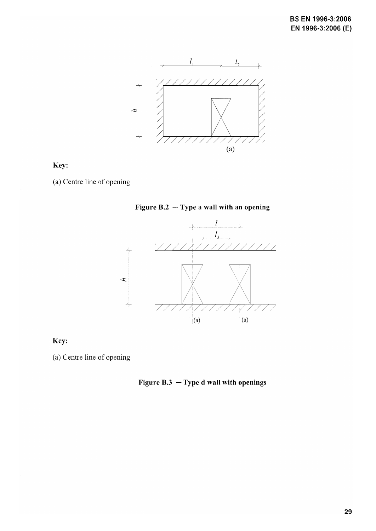

## **Key:**

(a) Centre line of opening





## **Key:**

( a) Centre line of opening

## **Figure B.3 - Type d wall with openings**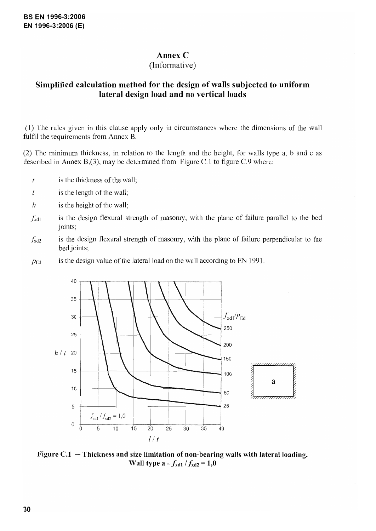## Annex C

(Informative)

## Simplified calculation method for the design of walls subjected to uniform lateral design load and no vertical loads

 $(1)$  The rules given in this clause apply only in circumstances where the dimensions of the wall fulfil the requirements from Annex B.

 $(2)$  The minimum thickness, in relation to the length and the height, for walls type a, b and c as described in Annex  $B(3)$ , may be determined from Figure C.1 to figure C.9 where:

- *t* is the thickness of the wall;
- $l$  is the length of the wall;
- $h$  is the height of the wall;
- $f_{\text{xdl}}$  is the design flexural strength of masonry, with the plane of failure parallel to the bed joints;
- $f_{\text{xd2}}$  is the design flexural strength of masonry, with the plane of failure perpendicular to the bed joints;
- *P*<sub>Ed</sub> is the design value of the lateral load on the wall according to EN 1991.



Figure  $C.1$  - Thickness and size limitation of non-bearing walls with lateral loading. Wall type a  $-f_{xd1}/f_{xd2} = 1,0$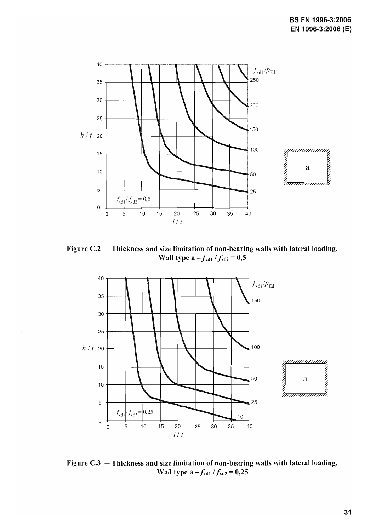

Figure C.2 - Thickness and size limitation of non-bearing walls with lateral loading. **Wall type a**  $-f_{xd1}/f_{xd2} = 0,5$ 



Figure C.3 - Thickness and size limitation of non-bearing walls with lateral loading. **Wall type a**  $-f_{xd1}/f_{xd2} = 0.25$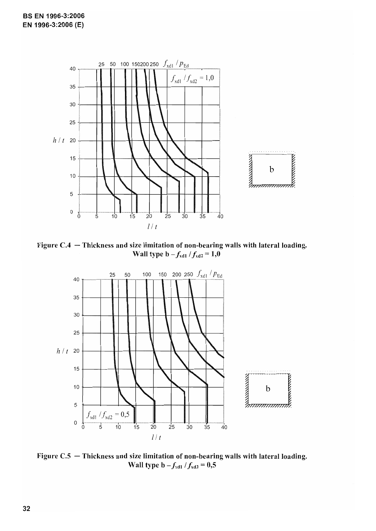

Figure C.4 - Thickness and size limitation of non-bearing walls with lateral loading. **Wall type b**  $-f_{xd1}/f_{xd2} = 1,0$ 



Figure C.5 - Thickness and size limitation of non-bearing walls with lateral loading. **Wall type b**  $-f_{xd1}/f_{xd2} = 0,5$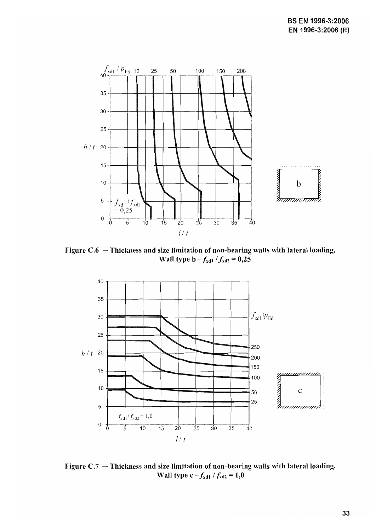

Figure C.6 - Thickness and size limitation of non-bearing walls with lateral loading. **Wall type b**  $-f_{xd1}/f_{xd2} = 0.25$ 



Figure C.7 - Thickness and size limitation of non-bearing walls with lateral loading. **Wall type c**  $-f_{xd1}/f_{xd2} = 1,0$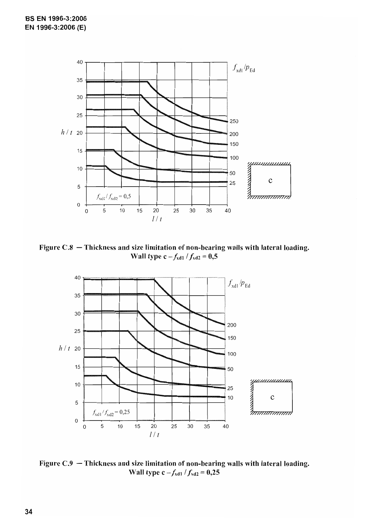

Figure C.8 - Thickness and size limitation of non-bearing walls with lateral loading. **Wall type c**  $-f_{xd1}/f_{xd2} = 0,5$ 



Figure C.9 - Thickness and size limitation of non-bearing walls with lateral loading. **Wall type c**  $-f_{xd1}/f_{xd2} = 0.25$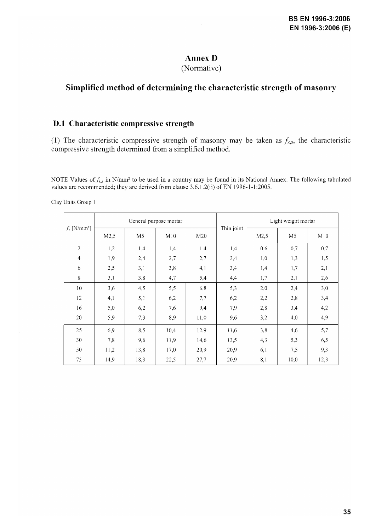## **Annex D**

#### (Normative)

## **Simplified method of determining the characteristic strength of masonry**

### **D.I Characteristic compressive strength**

(1) The characteristic compressive strength of masonry may be taken as  $f_{k,s}$ , the characteristic compressive strength determined from a simplified method.

NOTE Values of  $f_{k,s}$  in N/mm<sup>2</sup> to be used in a country may be found in its National Annex. The following tabulated values are reconunended; they are derived from clause 3.6.1.2(ii) of EN 1996-1-1 :2005.

Clay Units Group I

|                           | General purpose mortar |      |      |                 |            | Light weight mortar |      |      |
|---------------------------|------------------------|------|------|-----------------|------------|---------------------|------|------|
| $fb$ [N/mm <sup>2</sup> ] | M2,5                   | M5   | M10  | M <sub>20</sub> | Thin joint | M2,5                | M5   | M10  |
| $\overline{c}$            | 1,2                    | 1,4  | 1,4  | 1,4             | 1,4        | 0,6                 | 0,7  | 0,7  |
| $\overline{4}$            | 1,9                    | 2,4  | 2,7  | 2,7             | 2,4        | 1,0                 | 1,3  | 1,5  |
| 6                         | 2,5                    | 3,1  | 3,8  | 4,1             | 3,4        | 1,4                 | 1,7  | 2,1  |
| $8\,$                     | 3,1                    | 3,8  | 4,7  | 5,4             | 4,4        | 1,7                 | 2,1  | 2,6  |
| 10                        | 3,6                    | 4,5  | 5,5  | 6,8             | 5,3        | 2,0                 | 2,4  | 3,0  |
| 12                        | 4,1                    | 5,1  | 6,2  | 7,7             | 6,2        | 2,2                 | 2,8  | 3,4  |
| 16                        | 5,0                    | 6,2  | 7,6  | 9,4             | 7,9        | 2,8                 | 3,4  | 4,2  |
| 20                        | 5,9                    | 7,3  | 8,9  | 11,0            | 9,6        | 3,2                 | 4,0  | 4,9  |
| 25                        | 6,9                    | 8,5  | 10,4 | 12,9            | 11,6       | 3,8                 | 4,6  | 5,7  |
| 30                        | 7,8                    | 9,6  | 11,9 | 14,6            | 13,5       | 4,3                 | 5,3  | 6,5  |
| 50                        | 11,2                   | 13,8 | 17,0 | 20,9            | 20,9       | 6,1                 | 7,5  | 9,3  |
| 75                        | 14.9                   | 18,3 | 22,5 | 27,7            | 20,9       | 8,1                 | 10,0 | 12,3 |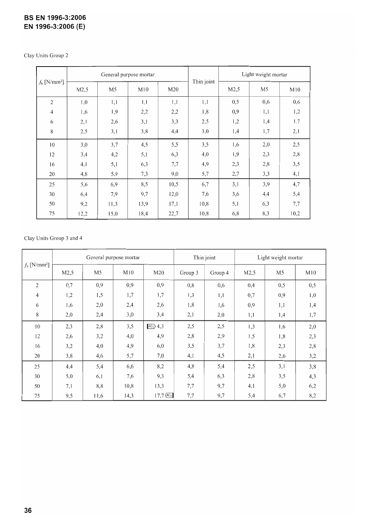#### **BS EN 1996-3:2006 EN 1996-3:2006 (E)**

Clay Units Group 2

|                           |      | General purpose mortar |      |      |            | Light weight mortar |                |      |  |
|---------------------------|------|------------------------|------|------|------------|---------------------|----------------|------|--|
| $fb$ [N/mm <sup>2</sup> ] | M2,5 | M5                     | M10  | M20  | Thin joint | M2,5                | M <sub>5</sub> | M10  |  |
| $\overline{2}$            | 1,0  | 1,1                    | 1,1  | 1,1  | 1,1        | 0,5                 | 0,6            | 0,6  |  |
| $\overline{4}$            | 1,6  | 1,9                    | 2,2  | 2,2  | 1,8        | 0,9                 | 1,1            | 1,2  |  |
| 6                         | 2,1  | 2,6                    | 3,1  | 3,3  | 2,5        | 1,2                 | 1,4            | 1,7  |  |
| 8                         | 2,5  | 3,1                    | 3,8  | 4,4  | 3,0        | 1,4                 | 1,7            | 2,1  |  |
| 10 <sup>°</sup>           | 3,0  | 3,7                    | 4,5  | 5,5  | 3,5        | 1,6                 | 2,0            | 2,5  |  |
| 12                        | 3,4  | 4,2                    | 5,1  | 6,3  | 4,0        | 1,9                 | 2,3            | 2,8  |  |
| 16                        | 4,1  | 5,1                    | 6,3  | 7,7  | 4,9        | 2,3                 | 2,8            | 3,5  |  |
| 20                        | 4,8  | 5,9                    | 7,3  | 9,0  | 5,7        | 2,7                 | 3,3            | 4,1  |  |
| 25                        | 5,6  | 6,9                    | 8,5  | 10,5 | 6,7        | 3,1                 | 3,9            | 4,7  |  |
| 30                        | 6,4  | 7,9                    | 9,7  | 12,0 | 7,6        | 3,6                 | 4,4            | 5,4  |  |
| 50                        | 9,2  | 11,3                   | 13,9 | 17,1 | 10,8       | 5,1                 | 6,3            | 7,7  |  |
| 75                        | 12,2 | 15,0                   | 18,4 | 22,7 | 10,8       | 6,8                 | 8,3            | 10,2 |  |

#### Clay Units Group 3 and 4

|                           |      |                | General purpose mortar |                 | Thin joint |         | Light weight mortar |                |      |
|---------------------------|------|----------------|------------------------|-----------------|------------|---------|---------------------|----------------|------|
| $fb$ [N/mm <sup>2</sup> ] | M2,5 | M <sub>5</sub> | M10                    | M <sub>20</sub> | Group 3    | Group 4 | M2,5                | M <sub>5</sub> | M10  |
| $\overline{2}$            | 0,7  | 0,9            | 0,9                    | 0,9             | 0,8        | 0,6     | 0.4                 | 0,5            | 0, 5 |
| $\overline{4}$            | 1,2  | 1,5            | 1,7                    | 1,7             | 1,3        | 1,1     | 0,7                 | 0,9            | 1,0  |
| 6                         | 1,6  | 2,0            | 2,4                    | 2,6             | 1,8        | 1,6     | 0,9                 | 1,1            | 1,4  |
| 8                         | 2,0  | 2,4            | 3,0                    | 3,4             | 2,1        | 2,0     | 1,1                 | 1,4            | 1,7  |
| 10                        | 2,3  | 2,8            | 3,5                    | $AC1$ 4,3       | 2,5        | 2,5     | 1,3                 | 1,6            | 2,0  |
| 12                        | 2,6  | 3,2            | 4,0                    | 4,9             | 2,8        | 2,9     | 1,5                 | 1,8            | 2,3  |
| 16                        | 3,2  | 4,0            | 4,9                    | 6,0             | 3,5        | 3,7     | 1,8                 | 2,3            | 2,8  |
| 20                        | 3,8  | 4,6            | 5,7                    | 7,0             | 4,1        | 4,5     | 2,1                 | 2,6            | 3,2  |
| 25                        | 4,4  | 5,4            | 6,6                    | 8,2             | 4,8        | 5,4     | 2,5                 | 3,1            | 3,8  |
| 30                        | 5,0  | 6,1            | 7,6                    | 9,3             | 5,4        | 6,3     | 2,8                 | 3,5            | 4,3  |
| 50                        | 7,1  | 8,8            | 10,8                   | 13,3            | 7,7        | 9,7     | 4,1                 | 5,0            | 6,2  |
| 75                        | 9,5  | 11,6           | 14,3                   | $17,7$ $(AC1)$  | 7,7        | 9,7     | 5,4                 | 6,7            | 8,2  |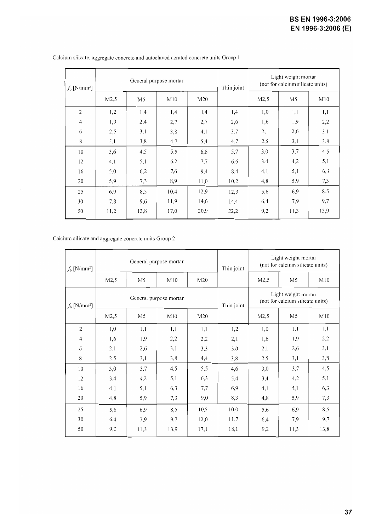| $fb$ [N/mm <sup>2</sup> ] | General purpose mortar |                |      |                 | Thin joint | Light weight mortar<br>(not for calcium silicate units) |                |      |  |
|---------------------------|------------------------|----------------|------|-----------------|------------|---------------------------------------------------------|----------------|------|--|
|                           | M2,5                   | M <sub>5</sub> | M10  | M <sub>20</sub> |            | M2,5                                                    | M <sub>5</sub> | M10  |  |
| $\sqrt{2}$                | 1,2                    | 1,4            | 1,4  | 1,4             | 1,4        | 1,0                                                     | 1,1            | 1,1  |  |
| $\overline{4}$            | 1,9                    | 2,4            | 2,7  | 2,7             | 2,6        | 1,6                                                     | 1,9            | 2,2  |  |
| 6                         | 2,5                    | 3,1            | 3,8  | 4,1             | 3,7        | 2,1                                                     | 2,6            | 3,1  |  |
| 8                         | 3,1                    | 3,8            | 4,7  | 5,4             | 4,7        | 2,5                                                     | 3,1            | 3,8  |  |
| 10                        | 3,6                    | 4,5            | 5,5  | 6,8             | 5,7        | 3,0                                                     | 3,7            | 4,5  |  |
| 12                        | 4,1                    | 5,1            | 6,2  | 7,7             | 6,6        | 3,4                                                     | 4,2            | 5,1  |  |
| 16                        | 5,0                    | 6,2            | 7,6  | 9,4             | 8,4        | 4,1                                                     | 5,1            | 6,3  |  |
| 20                        | 5,9                    | 7,3            | 8,9  | 11,0            | 10,2       | 4,8                                                     | 5,9            | 7,3  |  |
| 25                        | 6,9                    | 8,5            | 10,4 | 12,9            | 12,3       | 5,6                                                     | 6,9            | 8,5  |  |
| 30                        | 7,8                    | 9,6            | 11,9 | 14,6            | 14,4       | 6,4                                                     | 7,9            | 9,7  |  |
| 50                        | 11,2                   | 13,8           | 17,0 | 20,9            | 22,2       | 9,2                                                     | 11,3           | 13,9 |  |

Calcium silicate, aggregate concrete and autoclaved aerated concrete units Group I

Calcium silicate and aggregate concrete units Group 2

| $fb$ [N/mm <sup>2</sup> ] |      |                | General purpose mortar |      | Thin joint | Light weight mortar<br>(not for calcium silicate units) |                |      |  |
|---------------------------|------|----------------|------------------------|------|------------|---------------------------------------------------------|----------------|------|--|
|                           | M2,5 | M <sub>5</sub> | M10                    | M20  |            | M2,5                                                    | M5             | M10  |  |
| $fb$ [N/mm <sup>2</sup> ] |      |                | General purpose mortar |      | Thin joint | Light weight mortar<br>(not for calcium silicate units) |                |      |  |
|                           | M2,5 | M5             | M10                    | M20  |            | M2,5                                                    | M <sub>5</sub> | M10  |  |
| $\overline{2}$            | 1,0  | 1,1            | 1,1                    | 1,1  | 1,2        | 1,0                                                     | 1,1            | 1,1  |  |
| 4                         | 1,6  | 1,9            | 2,2                    | 2,2  | 2,1        | 1,6                                                     | 1,9            | 2,2  |  |
| 6                         | 2,1  | 2,6            | 3,1                    | 3,3  | 3,0        | 2,1                                                     | 2,6            | 3,1  |  |
| 8                         | 2,5  | 3,1            | 3,8                    | 4,4  | 3,8        | 2,5                                                     | 3,1            | 3,8  |  |
| 10                        | 3,0  | 3,7            | 4,5                    | 5,5  | 4,6        | 3,0                                                     | 3,7            | 4,5  |  |
| 12                        | 3,4  | 4,2            | 5,1                    | 6,3  | 5,4        | 3,4                                                     | 4,2            | 5,1  |  |
| 16                        | 4,1  | 5,1            | 6,3                    | 7,7  | 6,9        | 4,1                                                     | 5,1            | 6,3  |  |
| 20                        | 4,8  | 5,9            | 7,3                    | 9,0  | 8,3        | 4,8                                                     | 5,9            | 7,3  |  |
| 25                        | 5,6  | 6,9            | 8,5                    | 10,5 | 10,0       | 5,6                                                     | 6,9            | 8,5  |  |
| 30                        | 6,4  | 7,9            | 9,7                    | 12,0 | 11,7       | 6,4                                                     | 7,9            | 9,7  |  |
| 50                        | 9,2  | 11,3           | 13,9                   | 17,1 | 18,1       | 9,2                                                     | 11,3           | 13,8 |  |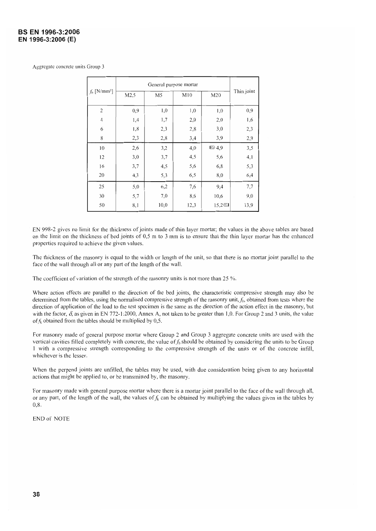Aggregate concrete units Group 3

| $fb$ [N/mm <sup>2</sup> ] | M2,5 | M <sub>5</sub> | M10  | M <sub>20</sub>                     | Thin joint |
|---------------------------|------|----------------|------|-------------------------------------|------------|
| $\overline{2}$            | 0,9  | 1,0            | 1,0  | 1,0                                 | 0,9        |
| $\overline{4}$            | 1,4  | 1,7            | 2,0  | 2,0                                 | 1,6        |
| 6                         | 1,8  | 2,3            | 2,8  | 3,0                                 | 2,3        |
| 8                         | 2,3  | 2,8            | 3,4  | 3,9                                 | 2,9        |
| 10                        | 2,6  | 3,2            | 4,0  | $\overline{AC_1}$ 4,9               | 3,5        |
| 12                        | 3,0  | 3,7            | 4,5  | 5,6                                 | 4,1        |
| 16                        | 3,7  | 4,5            | 5,6  | 6,8                                 | 5,3        |
| 20                        | 4,3  | 5,3            | 6,5  | 8,0                                 | 6,4        |
| 25                        | 5,0  | 6,2            | 7,6  | 9,4                                 | 7,7        |
| 30                        | 5,7  | 7,0            | 8,6  | 10,6                                | 9,0        |
| 50                        | 8,1  | 10,0           | 12,3 | $15,2$ <sup><math>(AC)</math></sup> | 13,9       |

EN 998-2 gives no limit for the thickness of joints made of thin layer mortar; the values in the above tables are based on the limit on the thickness of bed joints of 0,5 m to 3 mm is to ensure that the thin layer mortar has the enhanced properties required to achieve the given values.

The thickness of the masonry is equal to the width or length of the unit, so that there is no mortar joint parallel to the face of the wall through all or any part of the length of the wall.

The coefficient of variation of the strength of the masonry units is not more than 25 %.

Where action effects are parallel to the direction of the bed joints, the characteristic compressive strength may also be determined from the tables, using the normalised compressive strength of the masonry unit,  $f<sub>b</sub>$ , obtained from tests where the direction of application of the load to the test specimen is the same as the direction of the action effect in the masonry, but with the factor,  $\delta$ , as given in EN 772-1:2000, Annex A, not taken to be greater than 1,0. For Group 2 and 3 units, the value of  $f_k$  obtained from the tables should be multiplied by 0,5.

For masonry made of general purpose mortar where Group 2 and Group 3 aggregate concrete units are used with the vertical cavities filled completely with concrete, the value of  $f<sub>h</sub>$  should be obtained by considering the units to be Group 1 with a compressive strength corresponding to the compressive strength of the units or of the concrete infill, whichever is the lesser.

When the perpend joints are unfilled, the tables may be used, with due consideration being given to any horizontal actions that might be applied to, or be transmitted by, the masonry.

For masonry made with general purpose mortar where there is a mortar joint parallel to the face of the wall through all, or any part, of the length of the wall, the values of  $f_k$  can be obtained by multiplying the values given in the tables by 0,8.

END of NOTE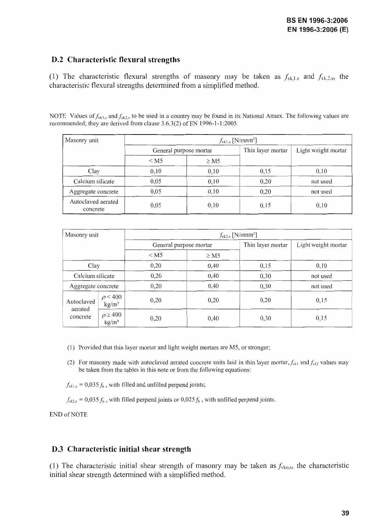#### **D.2 Characteristic flexural strengths**

(1) The characteristic flexural strengths of masonry may be taken as  $f_{x,1,s}$  and  $f_{x,2,s}$ , the characteristic flexural strengths determined from a simplified method.

NOTE Values of  $f_{xk1,s}$  and  $f_{xk2,s}$  to be used in a country may be found in its National Annex. The following values are recommended; they are derived from clause 3.6.3(2) of EN 1996-1-1:2005.

| Masonry unit                   |                        | $f_{\rm xk1,s}$ [N/mnm <sup>2</sup> ] |                   |                     |  |  |
|--------------------------------|------------------------|---------------------------------------|-------------------|---------------------|--|--|
|                                | General purpose mortar |                                       | Thin layer mortar | Light weight mortar |  |  |
|                                | < M5                   | $\geq$ M5                             |                   |                     |  |  |
| Clay                           | 0,10                   | 0,10                                  | 0,15              | 0,10                |  |  |
| Calcium silicate               | 0,05                   | 0.10                                  | 0,20              | not used            |  |  |
| Aggregate concrete             | 0,05                   | 0,10                                  | 0.20              | not used            |  |  |
| Autoclaved aerated<br>concrete | 0,05                   | 0.10                                  | 0.15              | 0,10                |  |  |

| Masonry unit                      |                                      | $f_{\rm kk2,s}$ [N/mnm <sup>2</sup> ] |           |                   |                     |  |
|-----------------------------------|--------------------------------------|---------------------------------------|-----------|-------------------|---------------------|--|
|                                   |                                      | General purpose mortar                |           | Thin layer mortar | Light weight mortar |  |
|                                   |                                      | < M5                                  | $\geq$ M5 |                   |                     |  |
| Clay                              |                                      | 0,20                                  | 0,40      | 0,15              | 0,10                |  |
| Calcium silicate                  |                                      | 0,20                                  | 0,40      | 0,30              | not used            |  |
| Aggregate concrete                |                                      | 0,20                                  | 0,40      | 0,30              | not used            |  |
| Autoclaved<br>aerated<br>concrete | $\rho$ < 400<br>$\text{kg/m}^3$      | 0,20                                  | 0,20      | 0,20              | 0,15                |  |
|                                   | $\rho \geq 400$<br>kg/m <sup>3</sup> | 0,20                                  | 0,40      | 0,30              | 0,15                |  |

- (1) Provided that thin layer mortar and light weight mortars are M5, or stronger;
- (2) For masonry made with autoclaved aerated concrete units laid in thin layer mortar,  $f_{xk1}$  and  $f_{xk2}$  values may be taken from the tables in this note or from the following equations:
- $f_{xk1,s} = 0.035 f_b$ , with filled and unfilled perpend joints;

 $f_{xk2,s} = 0.035 f_b$ , with filled perpend joints or 0.025  $f_b$ , with unfilled perpend joints.

END of NOTE

#### **D.3 Characteristic initial shear strength**

(1) The characteristic initial shear strength of masonry may be taken as  $f_{\text{vko,s}}$ , the characteristic initial shear strength determined with a simplified method.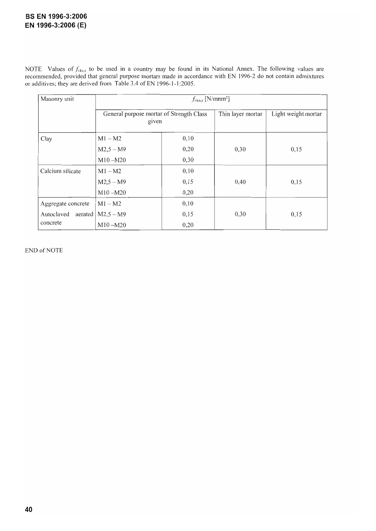#### **BS EN 1996-3:2006 EN 1996-3:2006 (E)**

NOTE Values of  $f_{\text{vko,s}}$  to be used in a country may be found in its National Annex. The following values are recommended, provided that general purpose mortars made in accordance with EN 1996-2 do not contain admixtures or additives; they are derived from Table 3.4 of EN 1996-1-1:2005 .

| Masonry unit          | $f_{\text{vko,s}}$ [N/mnm <sup>2</sup> ]          |      |                   |                     |  |
|-----------------------|---------------------------------------------------|------|-------------------|---------------------|--|
|                       | General purpose mortar of Strength Class<br>given |      | Thin layer mortar | Light weight mortar |  |
| Clay                  | $M1 - M2$                                         | 0,10 |                   |                     |  |
|                       | $M2,5 - M9$                                       | 0,20 | 0,30              | 0,15                |  |
|                       | $M10 - M20$                                       | 0,30 |                   |                     |  |
| Calcium silicate      | $M1 - M2$                                         | 0,10 |                   |                     |  |
|                       | $M2,5 - M9$                                       | 0,15 | 0,40              | 0,15                |  |
|                       | $M10 - M20$                                       | 0,20 |                   |                     |  |
| Aggregate concrete    | $M1 - M2$                                         | 0,10 |                   |                     |  |
| Autoclaved<br>aerated | $M2,5 - M9$                                       | 0,15 | 0,30              | 0,15                |  |
| concrete              | $M10 - M20$                                       | 0,20 |                   |                     |  |

END of NOTE